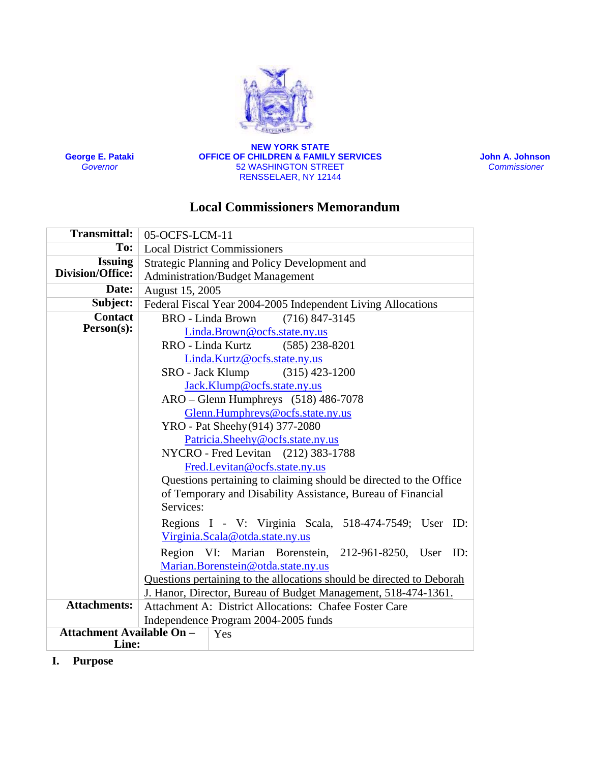

**George E. Pataki** *Governor*

**NEW YORK STATE OFFICE OF CHILDREN & FAMILY SERVICES** 52 WASHINGTON STREET RENSSELAER, NY 12144

 **John A. Johnson**  *Commissioner* 

# **Local Commissioners Memorandum**

| <b>Transmittal:</b>              | 05-OCFS-LCM-11                                                        |  |  |  |
|----------------------------------|-----------------------------------------------------------------------|--|--|--|
| To:                              | <b>Local District Commissioners</b>                                   |  |  |  |
| <b>Issuing</b>                   | Strategic Planning and Policy Development and                         |  |  |  |
| <b>Division/Office:</b>          | <b>Administration/Budget Management</b>                               |  |  |  |
| Date:                            | August 15, 2005                                                       |  |  |  |
| Subject:                         | Federal Fiscal Year 2004-2005 Independent Living Allocations          |  |  |  |
| <b>Contact</b>                   | <b>BRO</b> - Linda Brown<br>$(716)$ 847-3145                          |  |  |  |
| Person(s):                       | Linda.Brown@ocfs.state.ny.us                                          |  |  |  |
|                                  | RRO - Linda Kurtz<br>$(585)$ 238-8201                                 |  |  |  |
|                                  | Linda.Kurtz@ocfs.state.ny.us                                          |  |  |  |
|                                  | SRO - Jack Klump (315) 423-1200                                       |  |  |  |
|                                  | Jack.Klump@ocfs.state.ny.us                                           |  |  |  |
|                                  | $ARO - Glenn$ Humphreys $(518)$ 486-7078                              |  |  |  |
|                                  | Glenn.Humphreys@ocfs.state.ny.us                                      |  |  |  |
|                                  | YRO - Pat Sheehy (914) 377-2080                                       |  |  |  |
|                                  | Patricia.Sheehy@ocfs.state.ny.us                                      |  |  |  |
|                                  | NYCRO - Fred Levitan (212) 383-1788                                   |  |  |  |
|                                  | Fred.Levitan@ocfs.state.ny.us                                         |  |  |  |
|                                  | Questions pertaining to claiming should be directed to the Office     |  |  |  |
|                                  | of Temporary and Disability Assistance, Bureau of Financial           |  |  |  |
|                                  | Services:                                                             |  |  |  |
|                                  | Regions I - V: Virginia Scala, 518-474-7549; User ID:                 |  |  |  |
|                                  | Virginia.Scala@otda.state.ny.us                                       |  |  |  |
|                                  | Region VI: Marian Borenstein, 212-961-8250, User ID:                  |  |  |  |
|                                  | Marian.Borenstein@otda.state.ny.us                                    |  |  |  |
|                                  | Questions pertaining to the allocations should be directed to Deborah |  |  |  |
|                                  | J. Hanor, Director, Bureau of Budget Management, 518-474-1361.        |  |  |  |
| <b>Attachments:</b>              | Attachment A: District Allocations: Chafee Foster Care                |  |  |  |
|                                  | Independence Program 2004-2005 funds                                  |  |  |  |
| <b>Attachment Available On -</b> | Yes                                                                   |  |  |  |
| Line:                            |                                                                       |  |  |  |

**I. Purpose**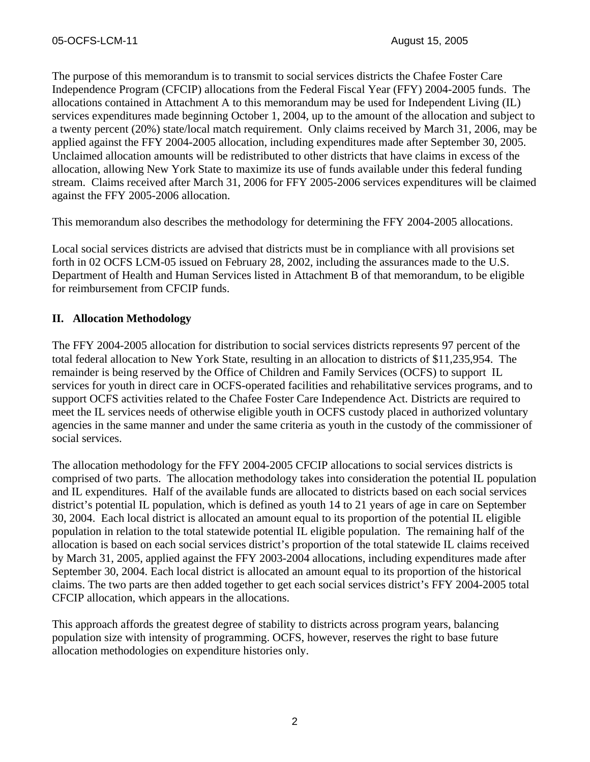The purpose of this memorandum is to transmit to social services districts the Chafee Foster Care Independence Program (CFCIP) allocations from the Federal Fiscal Year (FFY) 2004-2005 funds. The allocations contained in Attachment A to this memorandum may be used for Independent Living (IL) services expenditures made beginning October 1, 2004, up to the amount of the allocation and subject to a twenty percent (20%) state/local match requirement. Only claims received by March 31, 2006, may be applied against the FFY 2004-2005 allocation, including expenditures made after September 30, 2005. Unclaimed allocation amounts will be redistributed to other districts that have claims in excess of the allocation, allowing New York State to maximize its use of funds available under this federal funding stream. Claims received after March 31, 2006 for FFY 2005-2006 services expenditures will be claimed against the FFY 2005-2006 allocation.

This memorandum also describes the methodology for determining the FFY 2004-2005 allocations.

Local social services districts are advised that districts must be in compliance with all provisions set forth in 02 OCFS LCM-05 issued on February 28, 2002, including the assurances made to the U.S. Department of Health and Human Services listed in Attachment B of that memorandum, to be eligible for reimbursement from CFCIP funds.

## **II. Allocation Methodology**

The FFY 2004-2005 allocation for distribution to social services districts represents 97 percent of the total federal allocation to New York State, resulting in an allocation to districts of \$11,235,954. The remainder is being reserved by the Office of Children and Family Services (OCFS) to support IL services for youth in direct care in OCFS-operated facilities and rehabilitative services programs, and to support OCFS activities related to the Chafee Foster Care Independence Act. Districts are required to meet the IL services needs of otherwise eligible youth in OCFS custody placed in authorized voluntary agencies in the same manner and under the same criteria as youth in the custody of the commissioner of social services.

The allocation methodology for the FFY 2004-2005 CFCIP allocations to social services districts is comprised of two parts. The allocation methodology takes into consideration the potential IL population and IL expenditures. Half of the available funds are allocated to districts based on each social services district's potential IL population, which is defined as youth 14 to 21 years of age in care on September 30, 2004. Each local district is allocated an amount equal to its proportion of the potential IL eligible population in relation to the total statewide potential IL eligible population. The remaining half of the allocation is based on each social services district's proportion of the total statewide IL claims received by March 31, 2005, applied against the FFY 2003-2004 allocations, including expenditures made after September 30, 2004. Each local district is allocated an amount equal to its proportion of the historical claims. The two parts are then added together to get each social services district's FFY 2004-2005 total CFCIP allocation, which appears in the allocations.

This approach affords the greatest degree of stability to districts across program years, balancing population size with intensity of programming. OCFS, however, reserves the right to base future allocation methodologies on expenditure histories only.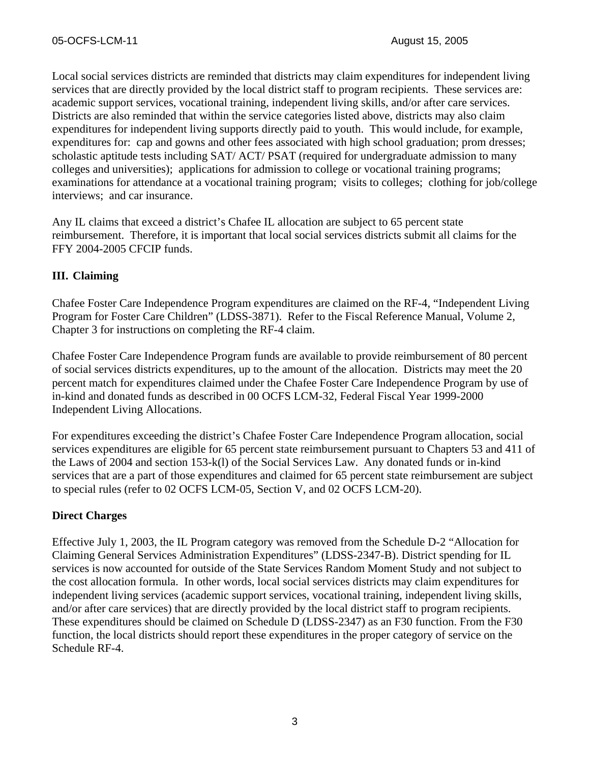Local social services districts are reminded that districts may claim expenditures for independent living services that are directly provided by the local district staff to program recipients. These services are: academic support services, vocational training, independent living skills, and/or after care services. Districts are also reminded that within the service categories listed above, districts may also claim expenditures for independent living supports directly paid to youth. This would include, for example, expenditures for: cap and gowns and other fees associated with high school graduation; prom dresses; scholastic aptitude tests including SAT/ ACT/ PSAT (required for undergraduate admission to many colleges and universities); applications for admission to college or vocational training programs; examinations for attendance at a vocational training program; visits to colleges; clothing for job/college interviews; and car insurance.

Any IL claims that exceed a district's Chafee IL allocation are subject to 65 percent state reimbursement. Therefore, it is important that local social services districts submit all claims for the FFY 2004-2005 CFCIP funds.

## **III. Claiming**

Chafee Foster Care Independence Program expenditures are claimed on the RF-4, "Independent Living Program for Foster Care Children" (LDSS-3871). Refer to the Fiscal Reference Manual, Volume 2, Chapter 3 for instructions on completing the RF-4 claim.

Chafee Foster Care Independence Program funds are available to provide reimbursement of 80 percent of social services districts expenditures, up to the amount of the allocation. Districts may meet the 20 percent match for expenditures claimed under the Chafee Foster Care Independence Program by use of in-kind and donated funds as described in 00 OCFS LCM-32, Federal Fiscal Year 1999-2000 Independent Living Allocations.

For expenditures exceeding the district's Chafee Foster Care Independence Program allocation, social services expenditures are eligible for 65 percent state reimbursement pursuant to Chapters 53 and 411 of the Laws of 2004 and section 153-k(l) of the Social Services Law. Any donated funds or in-kind services that are a part of those expenditures and claimed for 65 percent state reimbursement are subject to special rules (refer to 02 OCFS LCM-05, Section V, and 02 OCFS LCM-20).

## **Direct Charges**

Effective July 1, 2003, the IL Program category was removed from the Schedule D-2 "Allocation for Claiming General Services Administration Expenditures" (LDSS-2347-B). District spending for IL services is now accounted for outside of the State Services Random Moment Study and not subject to the cost allocation formula. In other words, local social services districts may claim expenditures for independent living services (academic support services, vocational training, independent living skills, and/or after care services) that are directly provided by the local district staff to program recipients. These expenditures should be claimed on Schedule D (LDSS-2347) as an F30 function. From the F30 function, the local districts should report these expenditures in the proper category of service on the Schedule RF-4.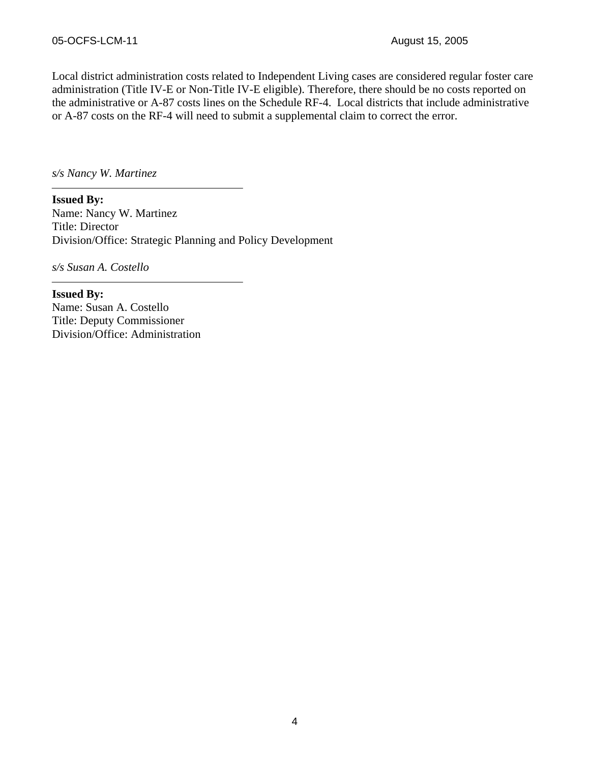Local district administration costs related to Independent Living cases are considered regular foster care administration (Title IV-E or Non-Title IV-E eligible). Therefore, there should be no costs reported on the administrative or A-87 costs lines on the Schedule RF-4. Local districts that include administrative or A-87 costs on the RF-4 will need to submit a supplemental claim to correct the error.

*s/s Nancy W. Martinez* 

**Issued By:**  Name: Nancy W. Martinez Title: Director Division/Office: Strategic Planning and Policy Development

*s/s Susan A. Costello* 

**Issued By:**  Name: Susan A. Costello Title: Deputy Commissioner Division/Office: Administration